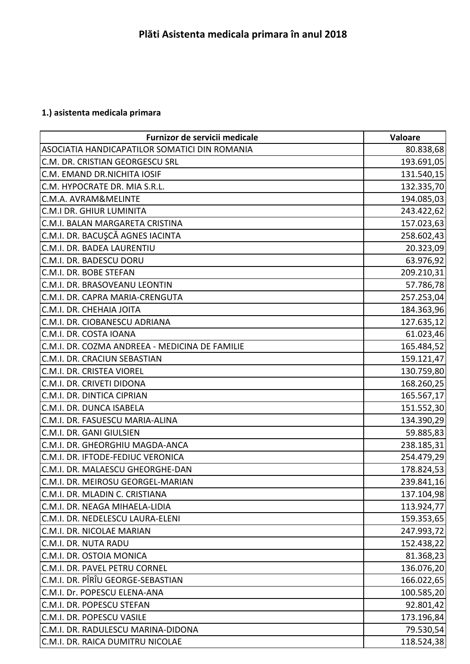## **1.) asistenta medicala primara**

| Furnizor de servicii medicale                  | <b>Valoare</b> |
|------------------------------------------------|----------------|
| ASOCIATIA HANDICAPATILOR SOMATICI DIN ROMANIA  | 80.838,68      |
| C.M. DR. CRISTIAN GEORGESCU SRL                | 193.691,05     |
| C.M. EMAND DR.NICHITA IOSIF                    | 131.540,15     |
| C.M. HYPOCRATE DR. MIA S.R.L.                  | 132.335,70     |
| C.M.A. AVRAM&MELINTE                           | 194.085,03     |
| C.M.I DR. GHIUR LUMINITA                       | 243.422,62     |
| C.M.I. BALAN MARGARETA CRISTINA                | 157.023,63     |
| C.M.I. DR. BACUŞCĂ AGNES IACINTA               | 258.602,43     |
| C.M.I. DR. BADEA LAURENTIU                     | 20.323,09      |
| C.M.I. DR. BADESCU DORU                        | 63.976,92      |
| C.M.I. DR. BOBE STEFAN                         | 209.210,31     |
| C.M.I. DR. BRASOVEANU LEONTIN                  | 57.786,78      |
| C.M.I. DR. CAPRA MARIA-CRENGUTA                | 257.253,04     |
| C.M.I. DR. CHEHAIA JOITA                       | 184.363,96     |
| C.M.I. DR. CIOBANESCU ADRIANA                  | 127.635,12     |
| C.M.I. DR. COSTA IOANA                         | 61.023,46      |
| C.M.I. DR. COZMA ANDREEA - MEDICINA DE FAMILIE | 165.484,52     |
| C.M.I. DR. CRACIUN SEBASTIAN                   | 159.121,47     |
| C.M.I. DR. CRISTEA VIOREL                      | 130.759,80     |
| C.M.I. DR. CRIVETI DIDONA                      | 168.260,25     |
| C.M.I. DR. DINTICA CIPRIAN                     | 165.567,17     |
| C.M.I. DR. DUNCA ISABELA                       | 151.552,30     |
| C.M.I. DR. FASUESCU MARIA-ALINA                | 134.390,29     |
| C.M.I. DR. GANI GIULSIEN                       | 59.885,83      |
| C.M.I. DR. GHEORGHIU MAGDA-ANCA                | 238.185,31     |
| C.M.I. DR. IFTODE-FEDIUC VERONICA              | 254.479,29     |
| C.M.I. DR. MALAESCU GHEORGHE-DAN               | 178.824,53     |
| C.M.I. DR. MEIROSU GEORGEL-MARIAN              | 239.841,16     |
| C.M.I. DR. MLADIN C. CRISTIANA                 | 137.104,98     |
| C.M.I. DR. NEAGA MIHAELA-LIDIA                 | 113.924,77     |
| C.M.I. DR. NEDELESCU LAURA-ELENI               | 159.353,65     |
| C.M.I. DR. NICOLAE MARIAN                      | 247.993,72     |
| C.M.I. DR. NUTA RADU                           | 152.438,22     |
| C.M.I. DR. OSTOIA MONICA                       | 81.368,23      |
| C.M.I. DR. PAVEL PETRU CORNEL                  | 136.076,20     |
| C.M.I. DR. PÎRÎU GEORGE-SEBASTIAN              | 166.022,65     |
| C.M.I. Dr. POPESCU ELENA-ANA                   | 100.585,20     |
| C.M.I. DR. POPESCU STEFAN                      | 92.801,42      |
| C.M.I. DR. POPESCU VASILE                      | 173.196,84     |
| C.M.I. DR. RADULESCU MARINA-DIDONA             | 79.530,54      |
| C.M.I. DR. RAICA DUMITRU NICOLAE               | 118.524,38     |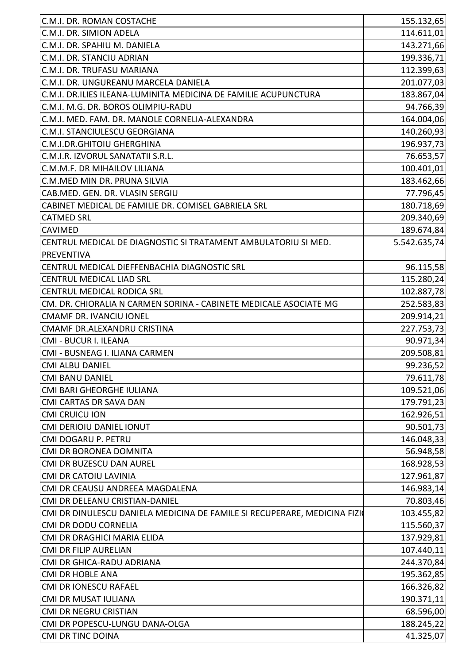| C.M.I. DR. ROMAN COSTACHE                                                 | 155.132,65   |
|---------------------------------------------------------------------------|--------------|
| C.M.I. DR. SIMION ADELA                                                   |              |
| C.M.I. DR. SPAHIU M. DANIELA                                              | 114.611,01   |
| C.M.I. DR. STANCIU ADRIAN                                                 | 143.271,66   |
| C.M.I. DR. TRUFASU MARIANA                                                | 199.336,71   |
|                                                                           | 112.399,63   |
| C.M.I. DR. UNGUREANU MARCELA DANIELA                                      | 201.077,03   |
| C.M.I. DR.ILIES ILEANA-LUMINITA MEDICINA DE FAMILIE ACUPUNCTURA           | 183.867,04   |
| C.M.I. M.G. DR. BOROS OLIMPIU-RADU                                        | 94.766,39    |
| C.M.I. MED. FAM. DR. MANOLE CORNELIA-ALEXANDRA                            | 164.004,06   |
| C.M.I. STANCIULESCU GEORGIANA                                             | 140.260,93   |
| <b>C.M.I.DR.GHITOIU GHERGHINA</b>                                         | 196.937,73   |
| C.M.I.R. IZVORUL SANATATII S.R.L.                                         | 76.653,57    |
| C.M.M.F. DR MIHAILOV LILIANA                                              | 100.401,01   |
| C.M.MED MIN DR. PRUNA SILVIA                                              | 183.462,66   |
| CAB.MED. GEN. DR. VLASIN SERGIU                                           | 77.796,45    |
| CABINET MEDICAL DE FAMILIE DR. COMISEL GABRIELA SRL                       | 180.718,69   |
| <b>CATMED SRL</b>                                                         | 209.340,69   |
| <b>CAVIMED</b>                                                            | 189.674,84   |
| CENTRUL MEDICAL DE DIAGNOSTIC SI TRATAMENT AMBULATORIU SI MED.            | 5.542.635,74 |
| <b>PREVENTIVA</b>                                                         |              |
| CENTRUL MEDICAL DIEFFENBACHIA DIAGNOSTIC SRL                              | 96.115,58    |
| <b>CENTRUL MEDICAL LIAD SRL</b>                                           | 115.280,24   |
| CENTRUL MEDICAL RODICA SRL                                                | 102.887,78   |
| CM. DR. CHIORALIA N CARMEN SORINA - CABINETE MEDICALE ASOCIATE MG         | 252.583,83   |
| <b>CMAMF DR. IVANCIU IONEL</b>                                            | 209.914,21   |
| CMAMF DR.ALEXANDRU CRISTINA                                               | 227.753,73   |
| CMI - BUCUR I. ILEANA                                                     | 90.971,34    |
| CMI - BUSNEAG I. ILIANA CARMEN                                            | 209.508,81   |
| <b>CMI ALBU DANIEL</b>                                                    | 99.236,52    |
| <b>CMI BANU DANIEL</b>                                                    | 79.611,78    |
| CMI BARI GHEORGHE IULIANA                                                 | 109.521,06   |
| CMI CARTAS DR SAVA DAN                                                    | 179.791,23   |
| <b>CMI CRUICU ION</b>                                                     | 162.926,51   |
| <b>CMI DERIOIU DANIEL IONUT</b>                                           | 90.501,73    |
| CMI DOGARU P. PETRU                                                       | 146.048,33   |
| <b>CMI DR BORONEA DOMNITA</b>                                             | 56.948,58    |
| CMI DR BUZESCU DAN AUREL                                                  | 168.928,53   |
| <b>CMI DR CATOIU LAVINIA</b>                                              | 127.961,87   |
| CMI DR CEAUSU ANDREEA MAGDALENA                                           | 146.983,14   |
| CMI DR DELEANU CRISTIAN-DANIEL                                            | 70.803,46    |
| CMI DR DINULESCU DANIELA MEDICINA DE FAMILE SI RECUPERARE, MEDICINA FIZIO | 103.455,82   |
| CMI DR DODU CORNELIA                                                      | 115.560,37   |
| CMI DR DRAGHICI MARIA ELIDA                                               | 137.929,81   |
| <b>CMI DR FILIP AURELIAN</b>                                              | 107.440,11   |
| CMI DR GHICA-RADU ADRIANA                                                 | 244.370,84   |
| <b>CMI DR HOBLE ANA</b>                                                   | 195.362,85   |
| <b>CMI DR IONESCU RAFAEL</b>                                              | 166.326,82   |
| CMI DR MUSAT IULIANA                                                      | 190.371,11   |
| CMI DR NEGRU CRISTIAN                                                     | 68.596,00    |
| CMI DR POPESCU-LUNGU DANA-OLGA                                            | 188.245,22   |
| <b>CMI DR TINC DOINA</b>                                                  | 41.325,07    |
|                                                                           |              |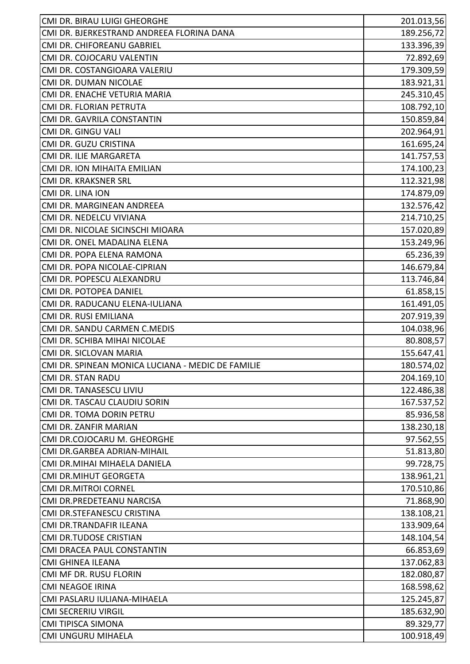| CMI DR. BIRAU LUIGI GHEORGHE                      | 201.013,56 |
|---------------------------------------------------|------------|
| CMI DR. BJERKESTRAND ANDREEA FLORINA DANA         | 189.256,72 |
| CMI DR. CHIFOREANU GABRIEL                        | 133.396,39 |
| CMI DR. COJOCARU VALENTIN                         | 72.892,69  |
| CMI DR. COSTANGIOARA VALERIU                      | 179.309,59 |
| CMI DR. DUMAN NICOLAE                             | 183.921,31 |
| CMI DR. ENACHE VETURIA MARIA                      | 245.310,45 |
| CMI DR. FLORIAN PETRUTA                           | 108.792,10 |
| CMI DR. GAVRILA CONSTANTIN                        | 150.859,84 |
| CMI DR. GINGU VALI                                | 202.964,91 |
| CMI DR. GUZU CRISTINA                             | 161.695,24 |
| CMI DR. ILIE MARGARETA                            | 141.757,53 |
| CMI DR. ION MIHAITA EMILIAN                       | 174.100,23 |
| CMI DR. KRAKSNER SRL                              | 112.321,98 |
| CMI DR. LINA ION                                  | 174.879,09 |
| CMI DR. MARGINEAN ANDREEA                         | 132.576,42 |
| CMI DR. NEDELCU VIVIANA                           | 214.710,25 |
| CMI DR. NICOLAE SICINSCHI MIOARA                  | 157.020,89 |
| CMI DR. ONEL MADALINA ELENA                       | 153.249,96 |
| CMI DR. POPA ELENA RAMONA                         | 65.236,39  |
| CMI DR. POPA NICOLAE-CIPRIAN                      | 146.679,84 |
| CMI DR. POPESCU ALEXANDRU                         | 113.746,84 |
| CMI DR. POTOPEA DANIEL                            | 61.858,15  |
| CMI DR. RADUCANU ELENA-IULIANA                    | 161.491,05 |
| CMI DR. RUSI EMILIANA                             | 207.919,39 |
| CMI DR. SANDU CARMEN C.MEDIS                      | 104.038,96 |
| CMI DR. SCHIBA MIHAI NICOLAE                      | 80.808,57  |
| CMI DR. SICLOVAN MARIA                            | 155.647,41 |
| CMI DR. SPINEAN MONICA LUCIANA - MEDIC DE FAMILIE | 180.574,02 |
| CMI DR. STAN RADU                                 | 204.169,10 |
| CMI DR. TANASESCU LIVIU                           | 122.486,38 |
| CMI DR. TASCAU CLAUDIU SORIN                      | 167.537,52 |
| CMI DR. TOMA DORIN PETRU                          | 85.936,58  |
| CMI DR. ZANFIR MARIAN                             | 138.230,18 |
| CMI DR.COJOCARU M. GHEORGHE                       | 97.562,55  |
| CMI DR.GARBEA ADRIAN-MIHAIL                       | 51.813,80  |
| CMI DR.MIHAI MIHAELA DANIELA                      | 99.728,75  |
| CMI DR.MIHUT GEORGETA                             | 138.961,21 |
| <b>CMI DR.MITROI CORNEL</b>                       | 170.510,86 |
| CMI DR.PREDETEANU NARCISA                         | 71.868,90  |
| CMI DR.STEFANESCU CRISTINA                        | 138.108,21 |
| CMI DR.TRANDAFIR ILEANA                           | 133.909,64 |
| <b>CMI DR.TUDOSE CRISTIAN</b>                     | 148.104,54 |
| CMI DRACEA PAUL CONSTANTIN                        | 66.853,69  |
| CMI GHINEA ILEANA                                 | 137.062,83 |
| CMI MF DR. RUSU FLORIN                            | 182.080,87 |
| <b>CMI NEAGOE IRINA</b>                           | 168.598,62 |
| CMI PASLARU IULIANA-MIHAELA                       | 125.245,87 |
| <b>CMI SECRERIU VIRGIL</b>                        | 185.632,90 |
| <b>CMI TIPISCA SIMONA</b>                         | 89.329,77  |
| CMI UNGURU MIHAELA                                | 100.918,49 |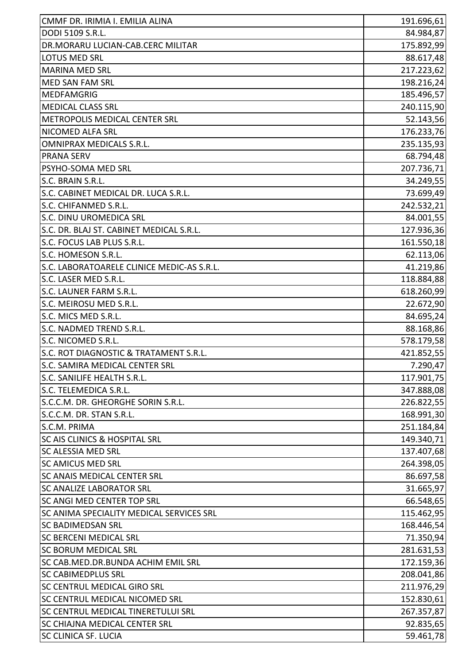| CMMF DR. IRIMIA I. EMILIA ALINA                               | 191.696,61 |
|---------------------------------------------------------------|------------|
| DODI 5109 S.R.L.                                              | 84.984,87  |
| DR.MORARU LUCIAN-CAB.CERC MILITAR                             | 175.892,99 |
| LOTUS MED SRL                                                 | 88.617,48  |
| <b>MARINA MED SRL</b>                                         | 217.223,62 |
| <b>MED SAN FAM SRL</b>                                        | 198.216,24 |
| <b>MEDFAMGRIG</b>                                             | 185.496,57 |
| <b>MEDICAL CLASS SRL</b>                                      | 240.115,90 |
| METROPOLIS MEDICAL CENTER SRL                                 | 52.143,56  |
| NICOMED ALFA SRL                                              | 176.233,76 |
| <b>OMNIPRAX MEDICALS S.R.L.</b>                               | 235.135,93 |
| <b>PRANA SERV</b>                                             | 68.794,48  |
| PSYHO-SOMA MED SRL                                            | 207.736,71 |
| S.C. BRAIN S.R.L.                                             |            |
|                                                               | 34.249,55  |
| S.C. CABINET MEDICAL DR. LUCA S.R.L.<br>S.C. CHIFANMED S.R.L. | 73.699,49  |
|                                                               | 242.532,21 |
| S.C. DINU UROMEDICA SRL                                       | 84.001,55  |
| S.C. DR. BLAJ ST. CABINET MEDICAL S.R.L.                      | 127.936,36 |
| S.C. FOCUS LAB PLUS S.R.L.                                    | 161.550,18 |
| S.C. HOMESON S.R.L.                                           | 62.113,06  |
| S.C. LABORATOARELE CLINICE MEDIC-AS S.R.L.                    | 41.219,86  |
| S.C. LASER MED S.R.L.                                         | 118.884,88 |
| S.C. LAUNER FARM S.R.L.                                       | 618.260,99 |
| S.C. MEIROSU MED S.R.L.                                       | 22.672,90  |
| S.C. MICS MED S.R.L.                                          | 84.695,24  |
| S.C. NADMED TREND S.R.L.                                      | 88.168,86  |
| S.C. NICOMED S.R.L.                                           | 578.179,58 |
| S.C. ROT DIAGNOSTIC & TRATAMENT S.R.L.                        | 421.852,55 |
| S.C. SAMIRA MEDICAL CENTER SRL                                | 7.290,47   |
| S.C. SANILIFE HEALTH S.R.L.                                   | 117.901,75 |
| S.C. TELEMEDICA S.R.L.                                        | 347.888,08 |
| S.C.C.M. DR. GHEORGHE SORIN S.R.L.                            | 226.822,55 |
| S.C.C.M. DR. STAN S.R.L.                                      | 168.991,30 |
| S.C.M. PRIMA                                                  | 251.184,84 |
| <b>SC AIS CLINICS &amp; HOSPITAL SRL</b>                      | 149.340,71 |
| <b>SC ALESSIA MED SRL</b>                                     | 137.407,68 |
| <b>SC AMICUS MED SRL</b>                                      | 264.398,05 |
| <b>SC ANAIS MEDICAL CENTER SRL</b>                            | 86.697,58  |
| <b>SC ANALIZE LABORATOR SRL</b>                               | 31.665,97  |
| <b>SC ANGI MED CENTER TOP SRL</b>                             | 66.548,65  |
| SC ANIMA SPECIALITY MEDICAL SERVICES SRL                      | 115.462,95 |
| <b>SC BADIMEDSAN SRL</b>                                      | 168.446,54 |
| <b>SC BERCENI MEDICAL SRL</b>                                 | 71.350,94  |
| <b>SC BORUM MEDICAL SRL</b>                                   | 281.631,53 |
| SC CAB.MED.DR.BUNDA ACHIM EMIL SRL                            | 172.159,36 |
| <b>SC CABIMEDPLUS SRL</b>                                     | 208.041,86 |
| <b>SC CENTRUL MEDICAL GIRO SRL</b>                            | 211.976,29 |
| <b>SC CENTRUL MEDICAL NICOMED SRL</b>                         | 152.830,61 |
| SC CENTRUL MEDICAL TINERETULUI SRL                            | 267.357,87 |
| SC CHIAJNA MEDICAL CENTER SRL                                 | 92.835,65  |
| <b>SC CLINICA SF. LUCIA</b>                                   | 59.461,78  |